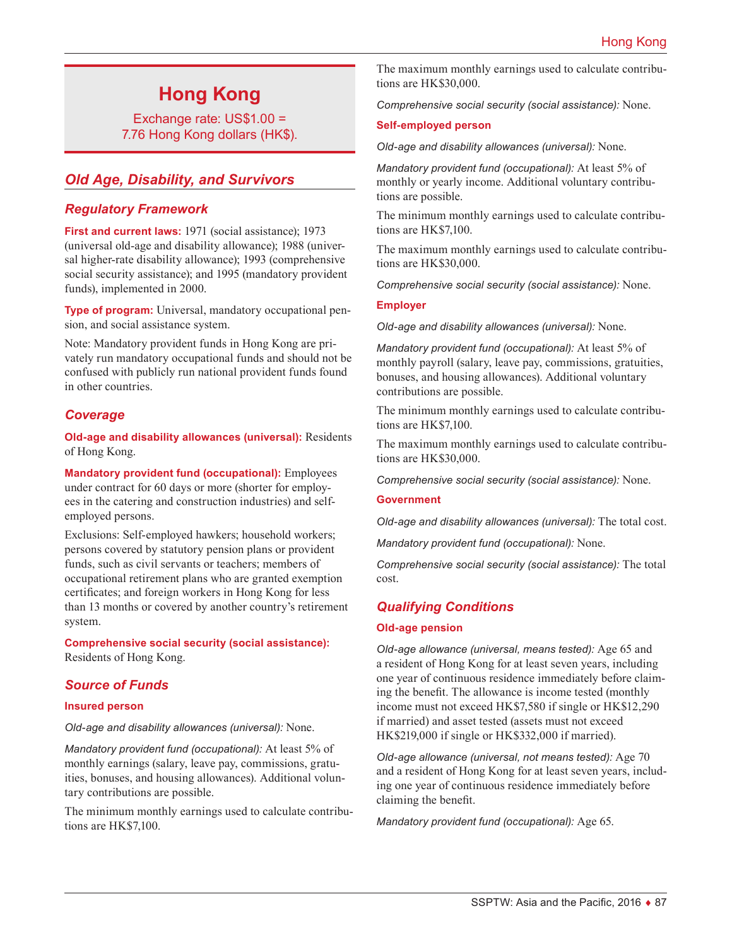# **Hong Kong**

Exchange rate: US\$1.00 = 7.76 Hong Kong dollars (HK\$).

# *Old Age, Disability, and Survivors*

### *Regulatory Framework*

**First and current laws:** 1971 (social assistance); 1973 (universal old-age and disability allowance); 1988 (universal higher-rate disability allowance); 1993 (comprehensive social security assistance); and 1995 (mandatory provident funds), implemented in 2000.

**Type of program:** Universal, mandatory occupational pension, and social assistance system.

Note: Mandatory provident funds in Hong Kong are privately run mandatory occupational funds and should not be confused with publicly run national provident funds found in other countries.

# *Coverage*

**Old-age and disability allowances (universal):** Residents of Hong Kong.

**Mandatory provident fund (occupational):** Employees under contract for 60 days or more (shorter for employees in the catering and construction industries) and selfemployed persons.

Exclusions: Self-employed hawkers; household workers; persons covered by statutory pension plans or provident funds, such as civil servants or teachers; members of occupational retirement plans who are granted exemption certificates; and foreign workers in Hong Kong for less than 13 months or covered by another country's retirement system.

**Comprehensive social security (social assistance):** Residents of Hong Kong.

# *Source of Funds*

### **Insured person**

*Old-age and disability allowances (universal):* None.

*Mandatory provident fund (occupational):* At least 5% of monthly earnings (salary, leave pay, commissions, gratuities, bonuses, and housing allowances). Additional voluntary contributions are possible.

The minimum monthly earnings used to calculate contributions are HK\$7,100.

The maximum monthly earnings used to calculate contributions are HK\$30,000.

*Comprehensive social security (social assistance):* None.

### **Self-employed person**

*Old-age and disability allowances (universal):* None.

*Mandatory provident fund (occupational):* At least 5% of monthly or yearly income. Additional voluntary contributions are possible.

The minimum monthly earnings used to calculate contributions are HK\$7,100.

The maximum monthly earnings used to calculate contributions are HK\$30,000.

*Comprehensive social security (social assistance):* None.

### **Employer**

*Old-age and disability allowances (universal):* None.

*Mandatory provident fund (occupational):* At least 5% of monthly payroll (salary, leave pay, commissions, gratuities, bonuses, and housing allowances). Additional voluntary contributions are possible.

The minimum monthly earnings used to calculate contributions are HK\$7,100.

The maximum monthly earnings used to calculate contributions are HK\$30,000.

*Comprehensive social security (social assistance):* None.

#### **Government**

*Old-age and disability allowances (universal):* The total cost.

*Mandatory provident fund (occupational):* None.

*Comprehensive social security (social assistance):* The total cost.

### *Qualifying Conditions*

#### **Old-age pension**

*Old-age allowance (universal, means tested):* Age 65 and a resident of Hong Kong for at least seven years, including one year of continuous residence immediately before claiming the benefit. The allowance is income tested (monthly income must not exceed HK\$7,580 if single or HK\$12,290 if married) and asset tested (assets must not exceed HK\$219,000 if single or HK\$332,000 if married).

*Old-age allowance (universal, not means tested):* Age 70 and a resident of Hong Kong for at least seven years, including one year of continuous residence immediately before claiming the benefit.

*Mandatory provident fund (occupational):* Age 65.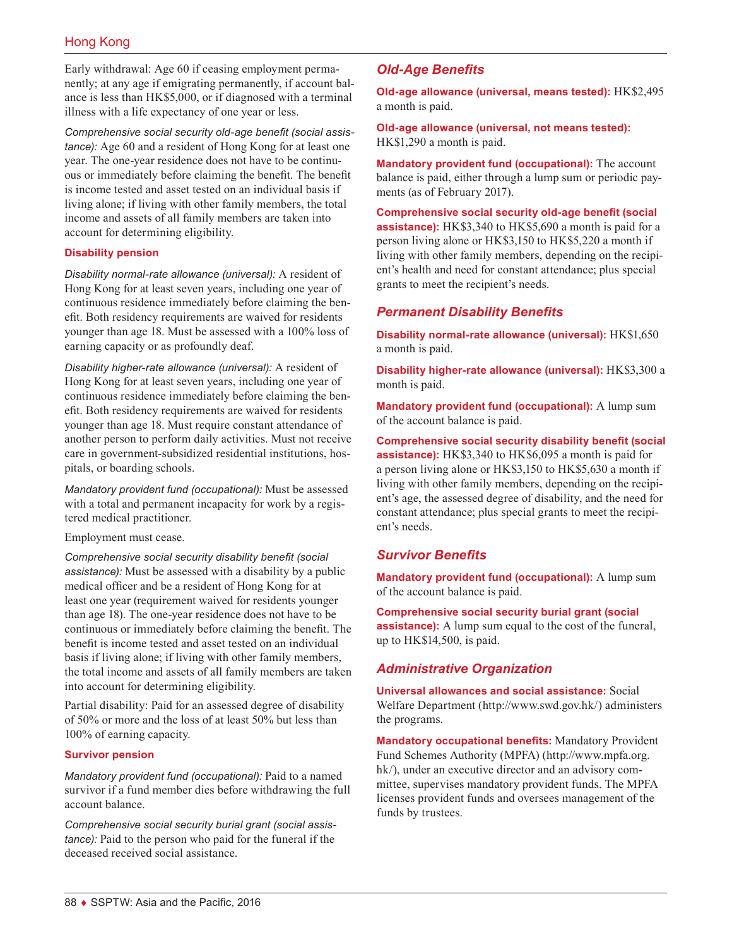Early withdrawal: Age 60 if ceasing employment permanently; at any age if emigrating permanently, if account balance is less than HK\$5,000, or if diagnosed with a terminal illness with a life expectancy of one year or less.

*Comprehensive social security old-age benefit (social assistance):* Age 60 and a resident of Hong Kong for at least one year. The one-year residence does not have to be continuous or immediately before claiming the benefit. The benefit is income tested and asset tested on an individual basis if living alone; if living with other family members, the total income and assets of all family members are taken into account for determining eligibility.

### **Disability pension**

*Disability normal-rate allowance (universal):* A resident of Hong Kong for at least seven years, including one year of continuous residence immediately before claiming the benefit. Both residency requirements are waived for residents younger than age 18. Must be assessed with a 100% loss of earning capacity or as profoundly deaf.

*Disability higher-rate allowance (universal):* A resident of Hong Kong for at least seven years, including one year of continuous residence immediately before claiming the benefit. Both residency requirements are waived for residents younger than age 18. Must require constant attendance of another person to perform daily activities. Must not receive care in government-subsidized residential institutions, hospitals, or boarding schools.

*Mandatory provident fund (occupational):* Must be assessed with a total and permanent incapacity for work by a registered medical practitioner.

Employment must cease.

*Comprehensive social security disability benefit (social assistance):* Must be assessed with a disability by a public medical officer and be a resident of Hong Kong for at least one year (requirement waived for residents younger than age 18). The one-year residence does not have to be continuous or immediately before claiming the benefit. The benefit is income tested and asset tested on an individual basis if living alone; if living with other family members, the total income and assets of all family members are taken into account for determining eligibility.

Partial disability: Paid for an assessed degree of disability of 50% or more and the loss of at least 50% but less than 100% of earning capacity.

### **Survivor pension**

*Mandatory provident fund (occupational):* Paid to a named survivor if a fund member dies before withdrawing the full account balance.

*Comprehensive social security burial grant (social assistance):* Paid to the person who paid for the funeral if the deceased received social assistance.

# *Old-Age Benefits*

**Old-age allowance (universal, means tested):** HK\$2,495 a month is paid.

**Old-age allowance (universal, not means tested):** HK\$1,290 a month is paid.

**Mandatory provident fund (occupational):** The account balance is paid, either through a lump sum or periodic payments (as of February 2017).

**Comprehensive social security old-age benefit (social assistance):** HK\$3,340 to HK\$5,690 a month is paid for a person living alone or HK\$3,150 to HK\$5,220 a month if living with other family members, depending on the recipient's health and need for constant attendance; plus special grants to meet the recipient's needs.

### *Permanent Disability Benefits*

**Disability normal-rate allowance (universal):** HK\$1,650 a month is paid.

**Disability higher-rate allowance (universal):** HK\$3,300 a month is paid.

**Mandatory provident fund (occupational):** A lump sum of the account balance is paid.

**Comprehensive social security disability benefit (social assistance):** HK\$3,340 to HK\$6,095 a month is paid for a person living alone or HK\$3,150 to HK\$5,630 a month if living with other family members, depending on the recipient's age, the assessed degree of disability, and the need for constant attendance; plus special grants to meet the recipient's needs.

### *Survivor Benefits*

**Mandatory provident fund (occupational):** A lump sum of the account balance is paid.

**Comprehensive social security burial grant (social assistance):** A lump sum equal to the cost of the funeral, up to HK\$14,500, is paid.

# *Administrative Organization*

**Universal allowances and social assistance:** Social Welfare Department ([http://www.swd.gov.hk](http://www.swd.gov.hk/)/) administers the programs.

**Mandatory occupational benefits:** Mandatory Provident Fund Schemes Authority (MPFA) [\(http://www.mpfa.org.](http://www.mpfa.org.hk/) [hk/](http://www.mpfa.org.hk/)), under an executive director and an advisory committee, supervises mandatory provident funds. The MPFA licenses provident funds and oversees management of the funds by trustees.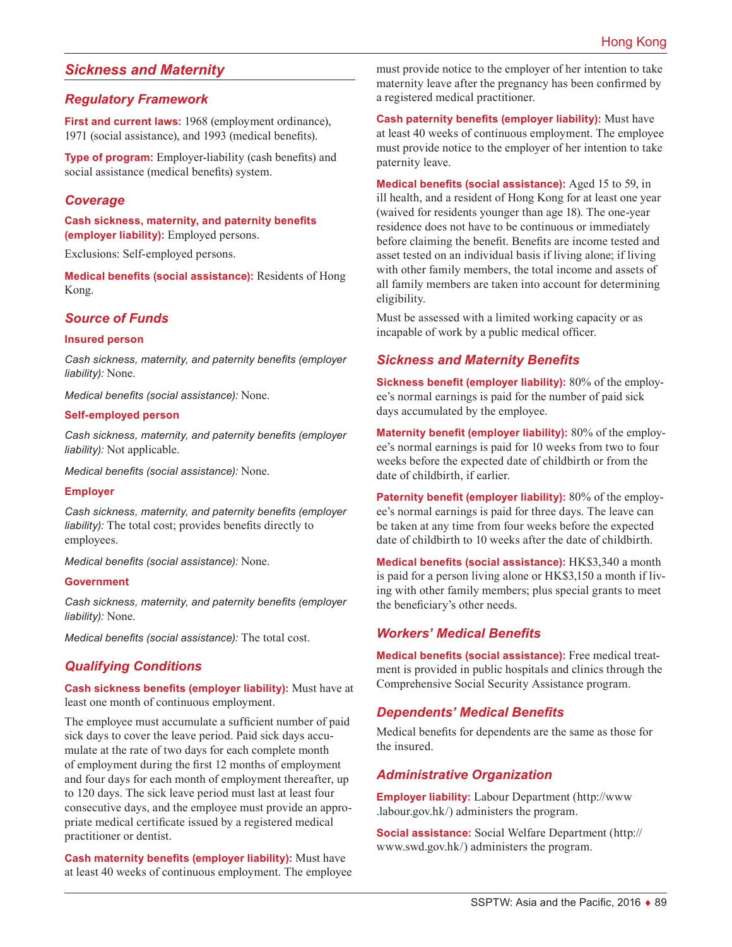# *Sickness and Maternity*

### *Regulatory Framework*

First and current laws: 1968 (employment ordinance), 1971 (social assistance), and 1993 (medical benefits).

**Type of program:** Employer-liability (cash benefits) and social assistance (medical benefits) system.

### *Coverage*

**Cash sickness, maternity, and paternity benefits (employer liability):** Employed persons.

Exclusions: Self-employed persons.

**Medical benefits (social assistance):** Residents of Hong Kong.

### *Source of Funds*

#### **Insured person**

*Cash sickness, maternity, and paternity benefits (employer liability):* None.

*Medical benefits (social assistance):* None.

#### **Self-employed person**

*Cash sickness, maternity, and paternity benefits (employer liability):* Not applicable.

*Medical benefits (social assistance):* None.

### **Employer**

*Cash sickness, maternity, and paternity benefits (employer liability):* The total cost; provides benefits directly to employees.

*Medical benefits (social assistance):* None.

#### **Government**

*Cash sickness, maternity, and paternity benefits (employer liability):* None.

*Medical benefits (social assistance):* The total cost.

### *Qualifying Conditions*

### **Cash sickness benefits (employer liability):** Must have at least one month of continuous employment.

The employee must accumulate a sufficient number of paid sick days to cover the leave period. Paid sick days accumulate at the rate of two days for each complete month of employment during the first 12 months of employment and four days for each month of employment thereafter, up to 120 days. The sick leave period must last at least four consecutive days, and the employee must provide an appropriate medical certificate issued by a registered medical practitioner or dentist.

**Cash maternity benefits (employer liability):** Must have at least 40 weeks of continuous employment. The employee must provide notice to the employer of her intention to take maternity leave after the pregnancy has been confirmed by a registered medical practitioner.

**Cash paternity benefits (employer liability):** Must have at least 40 weeks of continuous employment. The employee must provide notice to the employer of her intention to take paternity leave.

**Medical benefits (social assistance):** Aged 15 to 59, in ill health, and a resident of Hong Kong for at least one year (waived for residents younger than age 18). The one-year residence does not have to be continuous or immediately before claiming the benefit. Benefits are income tested and asset tested on an individual basis if living alone; if living with other family members, the total income and assets of all family members are taken into account for determining eligibility.

Must be assessed with a limited working capacity or as incapable of work by a public medical officer.

# *Sickness and Maternity Benefits*

**Sickness benefit (employer liability):** 80% of the employee's normal earnings is paid for the number of paid sick days accumulated by the employee.

**Maternity benefit (employer liability):** 80% of the employee's normal earnings is paid for 10 weeks from two to four weeks before the expected date of childbirth or from the date of childbirth, if earlier.

**Paternity benefit (employer liability):** 80% of the employee's normal earnings is paid for three days. The leave can be taken at any time from four weeks before the expected date of childbirth to 10 weeks after the date of childbirth.

**Medical benefits (social assistance):** HK\$3,340 a month is paid for a person living alone or HK\$3,150 a month if living with other family members; plus special grants to meet the beneficiary's other needs.

### *Workers' Medical Benefits*

**Medical benefits (social assistance):** Free medical treatment is provided in public hospitals and clinics through the Comprehensive Social Security Assistance program.

### *Dependents' Medical Benefits*

Medical benefits for dependents are the same as those for the insured.

### *Administrative Organization*

**Employer liability:** Labour Department ([http://www](http://www.labour.gov.hk/) [.labour.gov.hk/](http://www.labour.gov.hk/)) administers the program.

**Social assistance:** Social Welfare Department ([http://](http://www.swd.gov.hk/) [www.swd.gov.hk/](http://www.swd.gov.hk/)) administers the program.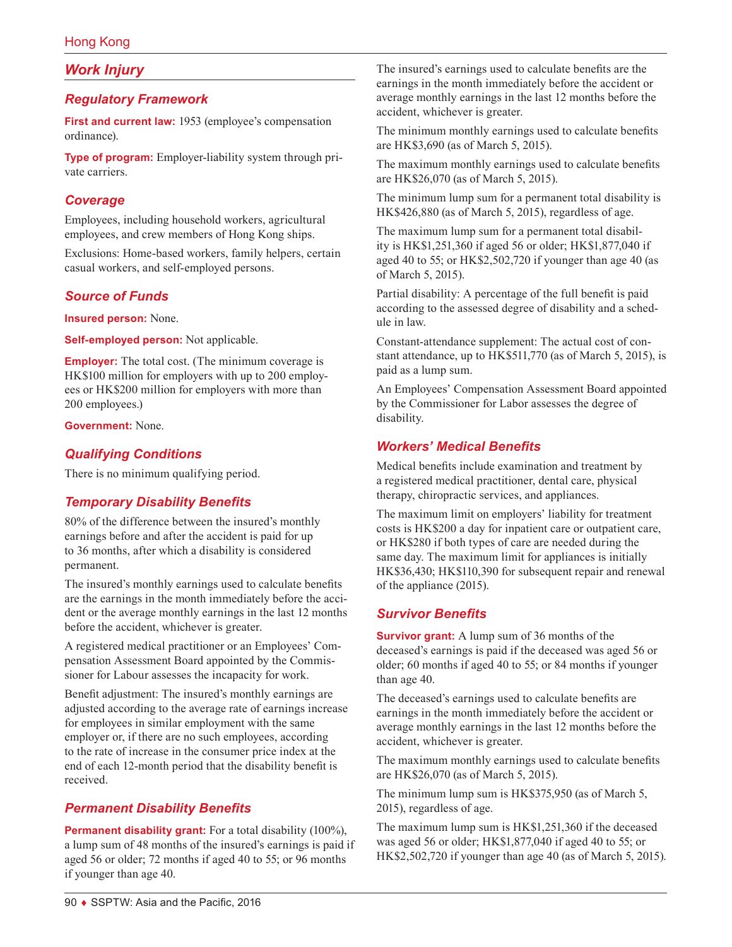# *Work Injury*

# *Regulatory Framework*

**First and current law:** 1953 (employee's compensation ordinance).

**Type of program:** Employer-liability system through private carriers.

### *Coverage*

Employees, including household workers, agricultural employees, and crew members of Hong Kong ships.

Exclusions: Home-based workers, family helpers, certain casual workers, and self-employed persons.

### *Source of Funds*

**Insured person:** None.

**Self-employed person:** Not applicable.

**Employer:** The total cost. (The minimum coverage is HK\$100 million for employers with up to 200 employees or HK\$200 million for employers with more than 200 employees.)

**Government:** None.

### *Qualifying Conditions*

There is no minimum qualifying period.

# *Temporary Disability Benefits*

80% of the difference between the insured's monthly earnings before and after the accident is paid for up to 36 months, after which a disability is considered permanent.

The insured's monthly earnings used to calculate benefits are the earnings in the month immediately before the accident or the average monthly earnings in the last 12 months before the accident, whichever is greater.

A registered medical practitioner or an Employees' Compensation Assessment Board appointed by the Commissioner for Labour assesses the incapacity for work.

Benefit adjustment: The insured's monthly earnings are adjusted according to the average rate of earnings increase for employees in similar employment with the same employer or, if there are no such employees, according to the rate of increase in the consumer price index at the end of each 12-month period that the disability benefit is received.

# *Permanent Disability Benefits*

**Permanent disability grant:** For a total disability (100%), a lump sum of 48 months of the insured's earnings is paid if aged 56 or older; 72 months if aged 40 to 55; or 96 months if younger than age 40.

The insured's earnings used to calculate benefits are the earnings in the month immediately before the accident or average monthly earnings in the last 12 months before the accident, whichever is greater.

The minimum monthly earnings used to calculate benefits are HK\$3,690 (as of March 5, 2015).

The maximum monthly earnings used to calculate benefits are HK\$26,070 (as of March 5, 2015).

The minimum lump sum for a permanent total disability is HK\$426,880 (as of March 5, 2015), regardless of age.

The maximum lump sum for a permanent total disability is HK\$1,251,360 if aged 56 or older; HK\$1,877,040 if aged 40 to 55; or HK\$2,502,720 if younger than age 40 (as of March 5, 2015).

Partial disability: A percentage of the full benefit is paid according to the assessed degree of disability and a schedule in law.

Constant-attendance supplement: The actual cost of constant attendance, up to HK\$511,770 (as of March 5, 2015), is paid as a lump sum.

An Employees' Compensation Assessment Board appointed by the Commissioner for Labor assesses the degree of disability.

### *Workers' Medical Benefits*

Medical benefits include examination and treatment by a registered medical practitioner, dental care, physical therapy, chiropractic services, and appliances.

The maximum limit on employers' liability for treatment costs is HK\$200 a day for inpatient care or outpatient care, or HK\$280 if both types of care are needed during the same day. The maximum limit for appliances is initially HK\$36,430; HK\$110,390 for subsequent repair and renewal of the appliance (2015).

# *Survivor Benefits*

**Survivor grant:** A lump sum of 36 months of the deceased's earnings is paid if the deceased was aged 56 or older; 60 months if aged 40 to 55; or 84 months if younger than age 40.

The deceased's earnings used to calculate benefits are earnings in the month immediately before the accident or average monthly earnings in the last 12 months before the accident, whichever is greater.

The maximum monthly earnings used to calculate benefits are HK\$26,070 (as of March 5, 2015).

The minimum lump sum is HK\$375,950 (as of March 5, 2015), regardless of age.

The maximum lump sum is HK\$1,251,360 if the deceased was aged 56 or older; HK\$1,877,040 if aged 40 to 55; or HK\$2,502,720 if younger than age 40 (as of March 5, 2015).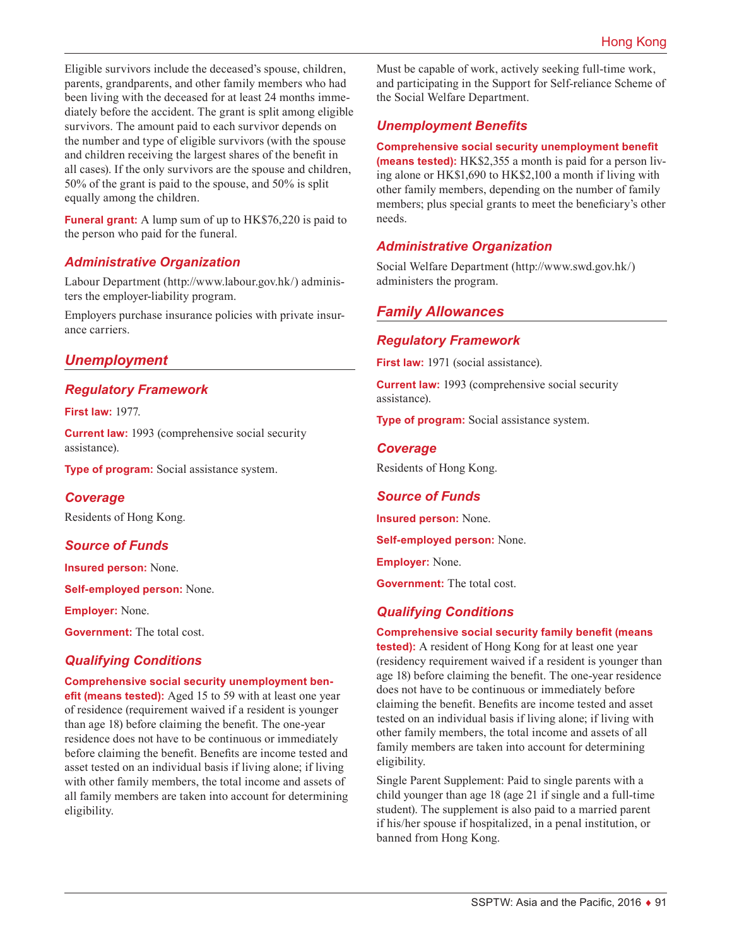Eligible survivors include the deceased's spouse, children, parents, grandparents, and other family members who had been living with the deceased for at least 24 months immediately before the accident. The grant is split among eligible survivors. The amount paid to each survivor depends on the number and type of eligible survivors (with the spouse and children receiving the largest shares of the benefit in all cases). If the only survivors are the spouse and children, 50% of the grant is paid to the spouse, and 50% is split equally among the children.

**Funeral grant:** A lump sum of up to HK\$76,220 is paid to the person who paid for the funeral.

### *Administrative Organization*

Labour Department [\(http://www.labour.gov.hk](http://www.labour.gov.hk/)/) administers the employer-liability program.

Employers purchase insurance policies with private insurance carriers.

# *Unemployment*

### *Regulatory Framework*

**First law:** 1977.

**Current law:** 1993 (comprehensive social security assistance).

**Type of program:** Social assistance system.

### *Coverage*

Residents of Hong Kong.

# *Source of Funds*

**Insured person:** None.

**Self-employed person:** None.

**Employer:** None.

**Government:** The total cost.

# *Qualifying Conditions*

**Comprehensive social security unemployment ben-**

**efit (means tested):** Aged 15 to 59 with at least one year of residence (requirement waived if a resident is younger than age 18) before claiming the benefit. The one-year residence does not have to be continuous or immediately before claiming the benefit. Benefits are income tested and asset tested on an individual basis if living alone; if living with other family members, the total income and assets of all family members are taken into account for determining eligibility.

Must be capable of work, actively seeking full-time work, and participating in the Support for Self-reliance Scheme of the Social Welfare Department.

# *Unemployment Benefits*

### **Comprehensive social security unemployment benefit**

**(means tested):** HK\$2,355 a month is paid for a person living alone or HK\$1,690 to HK\$2,100 a month if living with other family members, depending on the number of family members; plus special grants to meet the beneficiary's other needs.

# *Administrative Organization*

Social Welfare Department [\(http://www.swd.gov.hk](http://www.swd.gov.hk/)/) administers the program.

# *Family Allowances*

# *Regulatory Framework*

**First law:** 1971 (social assistance).

**Current law:** 1993 (comprehensive social security assistance).

**Type of program:** Social assistance system.

### *Coverage*

Residents of Hong Kong.

### *Source of Funds*

**Insured person:** None.

**Self-employed person:** None.

**Employer:** None.

**Government:** The total cost.

# *Qualifying Conditions*

#### **Comprehensive social security family benefit (means**

**tested):** A resident of Hong Kong for at least one year (residency requirement waived if a resident is younger than age 18) before claiming the benefit. The one-year residence does not have to be continuous or immediately before claiming the benefit. Benefits are income tested and asset tested on an individual basis if living alone; if living with other family members, the total income and assets of all family members are taken into account for determining eligibility.

Single Parent Supplement: Paid to single parents with a child younger than age 18 (age 21 if single and a full-time student). The supplement is also paid to a married parent if his/her spouse if hospitalized, in a penal institution, or banned from Hong Kong.